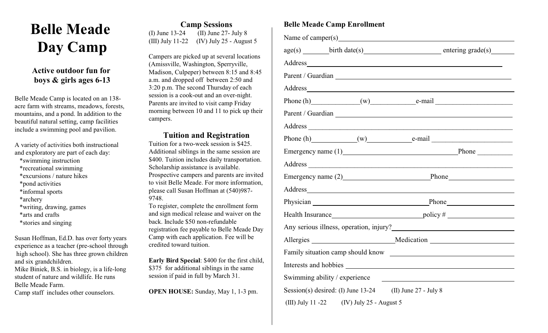## **Belle Meade Day Camp**

## **Active outdoor fun for boys & girls ages 6-13**

Belle Meade Camp is located on an 138 acre farm with streams, meadows, forests, mountains, and a pond. In addition to the beautiful natural setting, camp facilities include a swimming pool and pavilion.

A variety of activities both instructional and exploratory are part of each day:

- \*swimming instruction
- \*recreational swimming
- \*excursions / nature hikes
- \*pond activities
- \*informal sports
- \*archery
- \*writing, drawing, games
- \*arts and crafts
- \*stories and singing

Susan Hoffman, Ed.D. has over forty years experience as a teacher (pre-school through high school). She has three grown children and six grandchildren. Mike Biniek, B.S. in biology, is a life-long student of nature and wildlife. He runs Belle Meade Farm.

Camp staff includes other counselors.

**Camp Sessions** (I) June 13-24 (II) June 27- July 8 (III) July 11-22 (IV) July 25 - August 5

Campers are picked up at several locations (Amissville, Washington, Sperryville, Madison, Culpeper) between 8:15 and 8:45 a.m. and dropped off between 2:50 and 3:20 p.m. The second Thursday of each session is a cook-out and an over-night. Parents are invited to visit camp Friday morning between 10 and 11 to pick up their campers.

### **Tuition and Registration**

Tuition for a two-week session is \$425. Additional siblings in the same session are \$400. Tuition includes daily transportation. Scholarship assistance is available. Prospective campers and parents are invited to visit Belle Meade. For more information, please call Susan Hoffman at (540)987- 9748.

To register, complete the enrollment form and sign medical release and waiver on the back. Include \$50 non-refundable registration fee payable to Belle Meade Day Camp with each application. Fee will be credited toward tuition.

**Early Bird Special**: \$400 for the first child, \$375 for additional siblings in the same session if paid in full by March 31.

**OPEN HOUSE:** Sunday, May 1, 1-3 pm.

## **Belle Meade Camp Enrollment**

|                                                              | Phone (h) $(w)$ e-mail $e$ -mail                                                                                                                                                                                                |
|--------------------------------------------------------------|---------------------------------------------------------------------------------------------------------------------------------------------------------------------------------------------------------------------------------|
|                                                              | Parent / Guardian Lawrence and the contract of the contract of the contract of the contract of the contract of the contract of the contract of the contract of the contract of the contract of the contract of the contract of  |
|                                                              |                                                                                                                                                                                                                                 |
|                                                              | Phone (h) $(w)$ e-mail $e$ -mail e-mail e-mail e-mail e-mail e-mail e-mail e-mail e-mail e-mail e-mail e-mail e-mail e-mail e-mail e-mail e-mail e-mail e-mail e-mail e-mail e-mail e-mail e-mail e-mail e-mail e-mail e-mail e |
|                                                              | Emergency name (1) Phone                                                                                                                                                                                                        |
|                                                              |                                                                                                                                                                                                                                 |
|                                                              | Emergency name (2) Phone                                                                                                                                                                                                        |
|                                                              |                                                                                                                                                                                                                                 |
|                                                              | Physician Physician Phone Phone                                                                                                                                                                                                 |
|                                                              |                                                                                                                                                                                                                                 |
|                                                              |                                                                                                                                                                                                                                 |
|                                                              | Allergies Medication                                                                                                                                                                                                            |
|                                                              |                                                                                                                                                                                                                                 |
|                                                              |                                                                                                                                                                                                                                 |
| Swimming ability / experience                                | <u> 1980 - Jan Stein Stein Stein Stein Stein Stein Stein Stein Stein Stein Stein Stein Stein Stein Stein Stein S</u>                                                                                                            |
| Session(s) desired: (I) June $13-24$ (II) June $27$ - July 8 |                                                                                                                                                                                                                                 |
| (III) July 11 -22 (IV) July 25 - August 5                    |                                                                                                                                                                                                                                 |